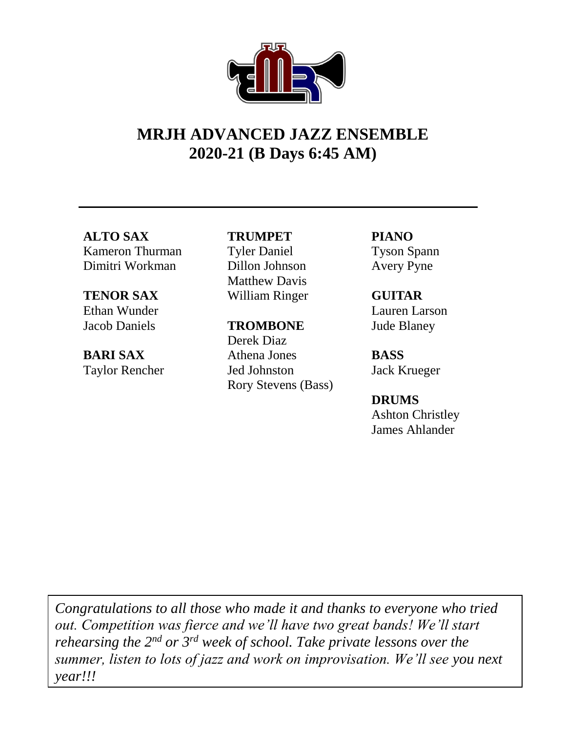## **MRJH ADVANCED JAZZ ENSEMBLE 2020-21 (B Days 6:45 AM)**

# **ALTO SAX**

Kameron Thurman Dimitri Workman

## **TENOR SAX**

Ethan Wunder Jacob Daniels

### **BARI SAX** Taylor Rencher

#### **TRUMPET**

Tyler Daniel Dillon Johnson Matthew Davis William Ringer

#### **TROMBONE**

Derek Diaz Athena Jones Jed Johnston Rory Stevens (Bass) **PIANO** Tyson Spann Avery Pyne

#### **GUITAR** Lauren Larson Jude Blaney

**BASS** Jack Krueger

#### **DRUMS** Ashton Christley James Ahlander

*Congratulations to all those who made it and thanks to everyone who tried out. Competition was fierce and we'll have two great bands! We'll start rehearsing the 2nd or 3rd week of school. Take private lessons over the summer, listen to lots of jazz and work on improvisation. We'll see you next year!!!*